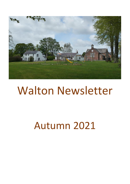

# Walton Newsletter

# Autumn 2021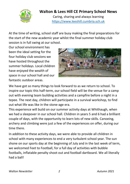

#### **Walton & Lees Hill CE Primary School News**

Caring, sharing and always learning [https://www.leeshill.cumbria.sch.uk](https://www.leeshill.cumbria.sch.uk/)

At the time of writing, school staff are busy making the final preparations for the start of the new academic year whilst the final summer holiday club session is in full swing at our school.

Our school environment has been the ideal setting for the four holiday club sessions we have hosted throughout the summer holidays. Local children have enjoyed the wealth of space in our school hall and our fantastic outdoor areas.



We have got so many things to look forward to as we return to school. To inspire our topic this half-term, our school field will be the venue for a camp out with evening team building activities and a campfire before a night in a tepee. The next day, children will participate in a survival workshop, to find out what life was like in the stone-age era.

This experience will build on our summer activity days at Whithaugh, when we had a sleepover in our school hall. Children in years 5 and 6 had a brilliant couple of days, with the opportunity to learn lots of new skills. Canoeing, archery and climbing were just a few of the experiences on offer, during our time there.

In addition to these activity days, we were able to provide all children in school with many experiences to end a very turbulent school year. The sun shone on our sports day at the beginning of July and in the last week of term, we welcomed Feet to Football, for a full day of activities with bubble footballs, inflatable penalty shoot out and football dartboard. We all literally had a ball!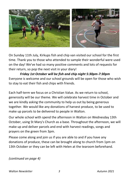

On Sunday 11th July, Kirkups fish and chip van visited our school for the first time. Thank you to those who attended to sample their wonderful were used on the day! We've had so many positive comments and lots of requests for their return, so pop the next visit in your diary!

*Friday 1st October will be fish and chip night 5:30pm-7:30pm* Everyone is welcome and our school grounds will be open for those who wish to stay to eat their fish and chips with friends.

Each half-term we focus on a Christian Value. As we return to school, generosity will be our theme. We will celebrate harvest time in October and we are kindly asking the community to help us out by being generous together. We would like any donations of harvest produce, to be used to make up parcels to be delivered to people in Walton.

Our whole school with spend the afternoon in Walton on Wednesday 13th October, using St Mary's Church as a base. Throughout the afternoon, we will make up and deliver parcels and end with harvest readings, songs and prayers on the green from 3pm.

Please come along and join us if you are able to and if you have any donations of produce, these can be brought along to church from 1pm on 13th October or they can be left with Helen at the tearoom beforehand.

*(continued on page 4)*

*Walton Newsletter 3 Autumn 2021*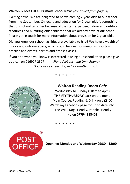#### **Walton & Lees Hill CE Primary School News** *(continued from page 3)*

Exciting news! We are delighted to be welcoming 2-year-olds to our school from mid-September. Childcare and education for 2-year-olds is something that our school can offer because of the staff expertise, indoor and outdoor resources and nurturing older children that we already have at our school. Please get in touch for more information about provision for 2-year-olds.

Did you know our school facilities are available to hire? We have a wealth of indoor and outdoor space, which could be ideal for meetings, sporting practise and events, parties and fitness classes.

If you or anyone you know is interested in using our school, then please give us a call on 016977 2577. *Fiona Stobbart and Lynn Rooney*  'God loves a cheerful giver' *2 Corinthians 9.7*



\* \* \* \* \* \*

#### **Walton Reading Room Cafe**

Wednesday to Sunday (10am to 4pm) **THRIFTY THURSDAY** back on the menu Main Course, Pudding & Drink only £8.00 Watch my Facebook page for up to date info. Free WiFi, Dog Friendly, People Friendly Helen **07794 388408**

\* \* \* \* \* \*



**Opening: Monday and Wednesday 09:30 - 12:00**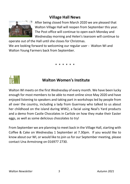#### **Village Hall News**



After being closed from March 2020 we are pleased that Walton Village Hall will reopen from September this year. The Post office will continue to open each Monday and Wednesday morning and Helen's tearoom will continue to

operate out of the Hall until she closes for Christmas.

We are looking forward to welcoming our regular user - Walton WI and Walton Young Farmers back from September.

\* \* \* \* \* \*



## **Walton Women's Institute**

Walton WI meets on the first Wednesday of every month. We have been lucky enough for most members to be able to meet online since May 2020 and have enjoyed listening to speakers and taking part in workshops led by people from all over the country, including a lady from Guernsey who talked to us about her childhood on the island during WW2, a facial using Neal's Yard products and a demo from Castle Chocolates in Carlisle on how they make their Easter eggs, as well as some delicious chocolates to try!

From September we are planning to meet back in the Village Hall, starting with Coffee & Cake on Wednesday 1 September at 7.30pm. If you would like to know about our WI, or would like to join us for our September meeting, please contact Una Armstrong on 016977 2730.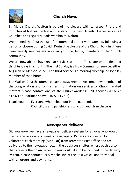

#### **Church News**

St. Mary's Church, Walton is part of the diocese with Lanercost Priory and Churches at Nether Denton and Gilsland. The Revd Angela Hughes serves all Churches and regularly leads worship at Walton.

We opened the Church again for communal and private worship, following a period of closure during Covid. During the closure of the Church building there were weekly services available via youtube, led by members of the Church community.

We are now able to have regular services at 11am. These are on the first and third Sundays in a month. The first Sunday is a Holy Communion service, either Anglican or Methodist led. The third service is a morning worship led by a lay member of the Church.

The Walton Church committee are always keen to welcome new members of the congregation and for further information on services or Church related matters please contact one of the Churchwardens: Phil Knowles (016977 41232) or Charlotte Shaw (01697 543002).

Thank you Everyone who helped out in the pandemic. Councillors and parishioners who cut and strim the grass.

\* \* \* \* \* \*

#### **Newspaper delivery**

Did you know we have a newspaper delivery system for anyone who would like to receive a daily or weekly newspaper? Papers are collected by volunteers each morning (Mon-Sat) from Brampton Post Office and are delivered to the newspaper box in the book/bus shelter, where each person then collects their own paper. If you would like to be included in the delivery system, please contact Chris Mitchelson at the Post Office, and they deal with all orders and payments.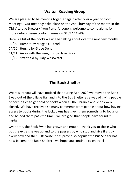### **Walton Reading Group**

We are pleased to be meeting together again after over a year of zoom meetings! Our meetings take place on the 2nd Thursday of the month in the Old Vicarage Brewery from 7pm. Anyone is welcome to come along, for more details please contact Emma on 016977 45409.

Here is a list of the books we will be talking about over the next few months:

- 09/09 Hamnet by Maggie O'Farrell
- 14/10 Hungry by Grace Dent
- 11/11 Away with the Penguins by Hazel Prior
- 09/12 Street Kid by Judy Westwater

\* \* \* \* \* \*

### **The Book Shelter**

We're sure you will have noticed that during April 2020 we moved the Book Swap out of the Village Hall and into the Bus Shelter as a way of giving people opportunities to get hold of books when all the libraries and shops were closed. We have received so many comments from people about how having access to books during the lockdowns has given them something to focus on and helped them pass the time - we are glad that people have found it useful.

Over time, the Book Swap has grown and grown—thank you to those who put the extra shelves up and to the passers by who stop and give it a tidy every now and then. Because it has proved so popular the Bus Shelter has now become the Book Shelter - we hope you continue to enjoy it!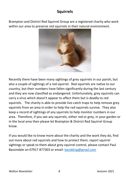## **Squirrels**

Brampton and District Red Squirrel Group are a registered charity who work within our area to preserve red squirrels in their natural environment.



Recently there have been many sightings of grey squirrels in our parish, but also a couple of sightings of a red squirrel. Red squirrels are native to our country, but their numbers have fallen significantly during the last century and they are now classified as endangered. Unfortunately, grey squirrels can carry a virus which doesn't appear to affect them but is deadly to red squirrels. The charity is able to provide live-catch traps to help remove grey squirrels from an area in order to help the red squirrels survive. They also keep a record of sightings of any squirrels to help monitor numbers in our area. Therefore, if you see any squirrels, either red or grey, in your garden or in the local area then please let Brampton & District Red Squirrel Group know.

If you would like to know more about the charity and the work they do, find out more about red squirrels and how to protect them, report squirrel sightings or speak to them about grey squirrel control, please contact Paul Bassindale on 07917 877303 or email: [banddrsg@gmail.com](mailto:banddrsg@gmail.com?subject=Red%20squirrels)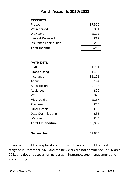#### **Parish Accounts 2020/2021**

| <b>Net surplus</b>       | £2,856 |
|--------------------------|--------|
| <b>Total Expenditure</b> | £5,397 |
| Website                  | £43    |
| Data Commissioner        | £35    |
| <b>Other Grants</b>      | £50    |
| Play area                | £50    |
| Misc repairs             | £137   |
| Vat                      | £323   |
| Audit fees               | £50    |
| Subscriptions            | £123   |
| Admin                    | £194   |
| Insurance                | £1,161 |
| Grass cutting            | £1,480 |
| Staff                    | £1,751 |
| <b>PAYMENTS</b>          |        |
| <b>Total Income</b>      | £8,253 |
| Insurance contribution   | £258   |
| <b>Interest Received</b> | £12    |
| Wayleave                 | £102   |
| Vat received             | £381   |
| Precept                  | £7,500 |
| <b>RECEIPTS</b>          |        |

Please note that the surplus does not take into account that the clerk resigned in December 2020 and the new clerk did not commence until March 2021 and does not cover for increases in insurance, tree management and grass cutting.